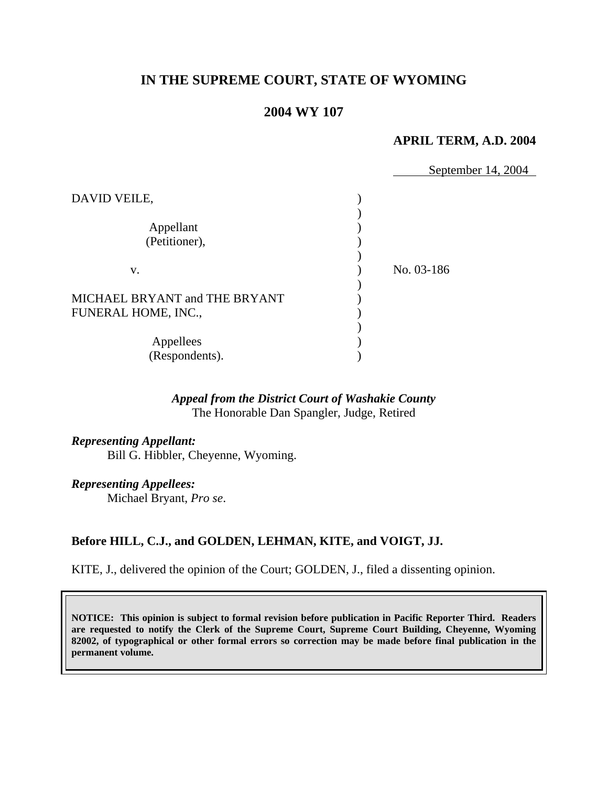# **IN THE SUPREME COURT, STATE OF WYOMING**

# **2004 WY 107**

### **APRIL TERM, A.D. 2004**

|                               | September 14, 2004 |
|-------------------------------|--------------------|
| DAVID VEILE,                  |                    |
| Appellant                     |                    |
| (Petitioner),                 |                    |
| V.                            | No. 03-186         |
| MICHAEL BRYANT and THE BRYANT |                    |
| FUNERAL HOME, INC.,           |                    |
|                               |                    |
| Appellees                     |                    |
| (Respondents).                |                    |

### *Appeal from the District Court of Washakie County* The Honorable Dan Spangler, Judge, Retired

*Representing Appellant:* Bill G. Hibbler, Cheyenne, Wyoming.

*Representing Appellees:* Michael Bryant, *Pro se*.

## **Before HILL, C.J., and GOLDEN, LEHMAN, KITE, and VOIGT, JJ.**

KITE, J., delivered the opinion of the Court; GOLDEN, J., filed a dissenting opinion.

**NOTICE: This opinion is subject to formal revision before publication in Pacific Reporter Third. Readers are requested to notify the Clerk of the Supreme Court, Supreme Court Building, Cheyenne, Wyoming 82002, of typographical or other formal errors so correction may be made before final publication in the permanent volume.**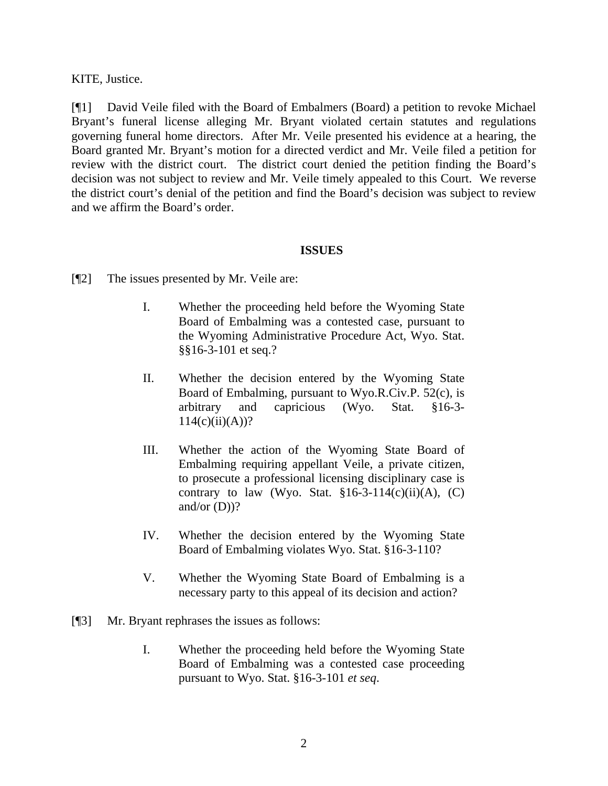KITE, Justice.

[¶1] David Veile filed with the Board of Embalmers (Board) a petition to revoke Michael Bryant's funeral license alleging Mr. Bryant violated certain statutes and regulations governing funeral home directors. After Mr. Veile presented his evidence at a hearing, the Board granted Mr. Bryant's motion for a directed verdict and Mr. Veile filed a petition for review with the district court. The district court denied the petition finding the Board's decision was not subject to review and Mr. Veile timely appealed to this Court. We reverse the district court's denial of the petition and find the Board's decision was subject to review and we affirm the Board's order.

### **ISSUES**

- [¶2] The issues presented by Mr. Veile are:
	- I. Whether the proceeding held before the Wyoming State Board of Embalming was a contested case, pursuant to the Wyoming Administrative Procedure Act, Wyo. Stat. §§16-3-101 et seq.?
	- II. Whether the decision entered by the Wyoming State Board of Embalming, pursuant to Wyo.R.Civ.P. 52(c), is arbitrary and capricious (Wyo. Stat. §16-3-  $114(c)(ii)(A))$ ?
	- III. Whether the action of the Wyoming State Board of Embalming requiring appellant Veile, a private citizen, to prosecute a professional licensing disciplinary case is contrary to law (Wyo. Stat.  $§16-3-114(c)(ii)(A)$ , (C) and/or  $(D)$ ?
	- IV. Whether the decision entered by the Wyoming State Board of Embalming violates Wyo. Stat. §16-3-110?
	- V. Whether the Wyoming State Board of Embalming is a necessary party to this appeal of its decision and action?
- [¶3] Mr. Bryant rephrases the issues as follows:
	- I. Whether the proceeding held before the Wyoming State Board of Embalming was a contested case proceeding pursuant to Wyo. Stat. §16-3-101 *et seq*.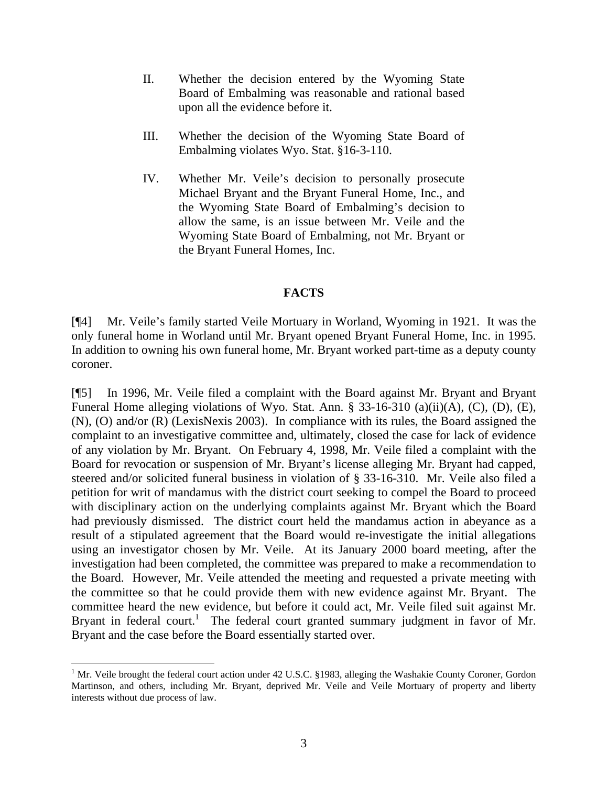- II. Whether the decision entered by the Wyoming State Board of Embalming was reasonable and rational based upon all the evidence before it.
- III. Whether the decision of the Wyoming State Board of Embalming violates Wyo. Stat. §16-3-110.
- IV. Whether Mr. Veile's decision to personally prosecute Michael Bryant and the Bryant Funeral Home, Inc., and the Wyoming State Board of Embalming's decision to allow the same, is an issue between Mr. Veile and the Wyoming State Board of Embalming, not Mr. Bryant or the Bryant Funeral Homes, Inc.

## **FACTS**

[¶4] Mr. Veile's family started Veile Mortuary in Worland, Wyoming in 1921. It was the only funeral home in Worland until Mr. Bryant opened Bryant Funeral Home, Inc. in 1995. In addition to owning his own funeral home, Mr. Bryant worked part-time as a deputy county coroner.

[¶5] In 1996, Mr. Veile filed a complaint with the Board against Mr. Bryant and Bryant Funeral Home alleging violations of Wyo. Stat. Ann. § 33-16-310 (a)(ii)(A), (C), (D), (E), (N), (O) and/or (R) (LexisNexis 2003). In compliance with its rules, the Board assigned the complaint to an investigative committee and, ultimately, closed the case for lack of evidence of any violation by Mr. Bryant. On February 4, 1998, Mr. Veile filed a complaint with the Board for revocation or suspension of Mr. Bryant's license alleging Mr. Bryant had capped, steered and/or solicited funeral business in violation of § 33-16-310. Mr. Veile also filed a petition for writ of mandamus with the district court seeking to compel the Board to proceed with disciplinary action on the underlying complaints against Mr. Bryant which the Board had previously dismissed. The district court held the mandamus action in abeyance as a result of a stipulated agreement that the Board would re-investigate the initial allegations using an investigator chosen by Mr. Veile. At its January 2000 board meeting, after the investigation had been completed, the committee was prepared to make a recommendation to the Board. However, Mr. Veile attended the meeting and requested a private meeting with the committee so that he could provide them with new evidence against Mr. Bryant. The committee heard the new evidence, but before it could act, Mr. Veile filed suit against Mr. Bryant in federal court.<sup>1</sup> The federal court granted summary judgment in favor of Mr. Bryant and the case before the Board essentially started over.

 $\overline{a}$ 

<sup>&</sup>lt;sup>1</sup> Mr. Veile brought the federal court action under 42 U.S.C. §1983, alleging the Washakie County Coroner, Gordon Martinson, and others, including Mr. Bryant, deprived Mr. Veile and Veile Mortuary of property and liberty interests without due process of law.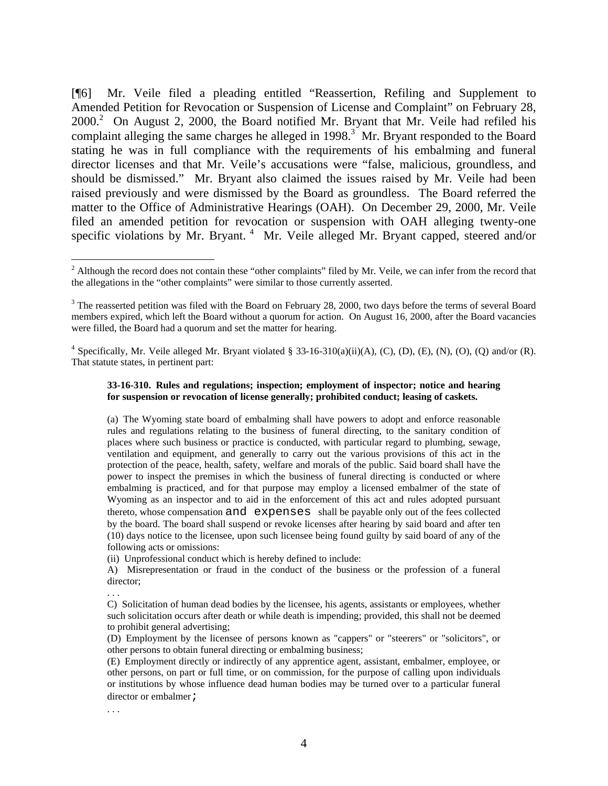[¶6] Mr. Veile filed a pleading entitled "Reassertion, Refiling and Supplement to Amended Petition for Revocation or Suspension of License and Complaint" on February 28,  $2000.<sup>2</sup>$  On August 2, 2000, the Board notified Mr. Bryant that Mr. Veile had refiled his complaint alleging the same charges he alleged in  $1998$ <sup>3</sup> Mr. Bryant responded to the Board stating he was in full compliance with the requirements of his embalming and funeral director licenses and that Mr. Veile's accusations were "false, malicious, groundless, and should be dismissed." Mr. Bryant also claimed the issues raised by Mr. Veile had been raised previously and were dismissed by the Board as groundless. The Board referred the matter to the Office of Administrative Hearings (OAH). On December 29, 2000, Mr. Veile filed an amended petition for revocation or suspension with OAH alleging twenty-one specific violations by Mr. Bryant.<sup>4</sup> Mr. Veile alleged Mr. Bryant capped, steered and/or

#### **33-16-310. Rules and regulations; inspection; employment of inspector; notice and hearing for suspension or revocation of license generally; prohibited conduct; leasing of caskets.**

(a) The Wyoming state board of embalming shall have powers to adopt and enforce reasonable rules and regulations relating to the business of funeral directing, to the sanitary condition of places where such business or practice is conducted, with particular regard to plumbing, sewage, ventilation and equipment, and generally to carry out the various provisions of this act in the protection of the peace, health, safety, welfare and morals of the public. Said board shall have the power to inspect the premises in which the business of funeral directing is conducted or where embalming is practiced, and for that purpose may employ a licensed embalmer of the state of Wyoming as an inspector and to aid in the enforcement of this act and rules adopted pursuant thereto, whose compensation and expenses shall be payable only out of the fees collected by the board. The board shall suspend or revoke licenses after hearing by said board and after ten (10) days notice to the licensee, upon such licensee being found guilty by said board of any of the following acts or omissions:

(ii) Unprofessional conduct which is hereby defined to include:

A) Misrepresentation or fraud in the conduct of the business or the profession of a funeral director;

. . .

 $\overline{a}$ 

C) Solicitation of human dead bodies by the licensee, his agents, assistants or employees, whether such solicitation occurs after death or while death is impending; provided, this shall not be deemed to prohibit general advertising;

<sup>&</sup>lt;sup>2</sup> Although the record does not contain these "other complaints" filed by Mr. Veile, we can infer from the record that the allegations in the "other complaints" were similar to those currently asserted.

<sup>&</sup>lt;sup>3</sup> The reasserted petition was filed with the Board on February 28, 2000, two days before the terms of several Board members expired, which left the Board without a quorum for action. On August 16, 2000, after the Board vacancies were filled, the Board had a quorum and set the matter for hearing.

<sup>&</sup>lt;sup>4</sup> Specifically, Mr. Veile alleged Mr. Bryant violated § 33-16-310(a)(ii)(A), (C), (D), (E), (N), (O), (Q) and/or (R). That statute states, in pertinent part:

<sup>(</sup>D) Employment by the licensee of persons known as "cappers" or "steerers" or "solicitors", or other persons to obtain funeral directing or embalming business;

<sup>(</sup>E) Employment directly or indirectly of any apprentice agent, assistant, embalmer, employee, or other persons, on part or full time, or on commission, for the purpose of calling upon individuals or institutions by whose influence dead human bodies may be turned over to a particular funeral director or embalmer *i* 

<sup>. . .</sup>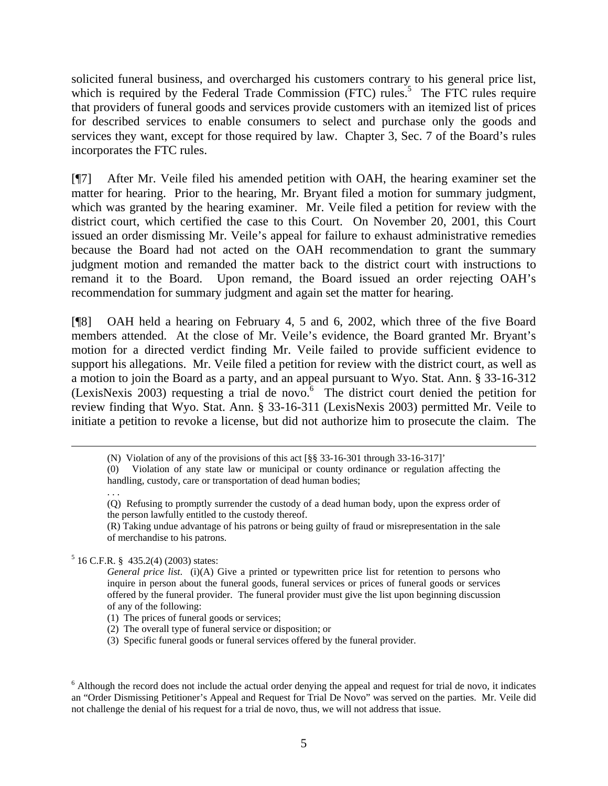solicited funeral business, and overcharged his customers contrary to his general price list, which is required by the Federal Trade Commission (FTC) rules.<sup>5</sup> The FTC rules require that providers of funeral goods and services provide customers with an itemized list of prices for described services to enable consumers to select and purchase only the goods and services they want, except for those required by law. Chapter 3, Sec. 7 of the Board's rules incorporates the FTC rules.

[¶7] After Mr. Veile filed his amended petition with OAH, the hearing examiner set the matter for hearing. Prior to the hearing, Mr. Bryant filed a motion for summary judgment, which was granted by the hearing examiner. Mr. Veile filed a petition for review with the district court, which certified the case to this Court. On November 20, 2001, this Court issued an order dismissing Mr. Veile's appeal for failure to exhaust administrative remedies because the Board had not acted on the OAH recommendation to grant the summary judgment motion and remanded the matter back to the district court with instructions to remand it to the Board. Upon remand, the Board issued an order rejecting OAH's recommendation for summary judgment and again set the matter for hearing.

[¶8] OAH held a hearing on February 4, 5 and 6, 2002, which three of the five Board members attended. At the close of Mr. Veile's evidence, the Board granted Mr. Bryant's motion for a directed verdict finding Mr. Veile failed to provide sufficient evidence to support his allegations. Mr. Veile filed a petition for review with the district court, as well as a motion to join the Board as a party, and an appeal pursuant to Wyo. Stat. Ann. § 33-16-312 (LexisNexis 2003) requesting a trial de novo. $6\degree$  The district court denied the petition for review finding that Wyo. Stat. Ann. § 33-16-311 (LexisNexis 2003) permitted Mr. Veile to initiate a petition to revoke a license, but did not authorize him to prosecute the claim. The

(0) Violation of any state law or municipal or county ordinance or regulation affecting the handling, custody, care or transportation of dead human bodies;

(Q) Refusing to promptly surrender the custody of a dead human body, upon the express order of the person lawfully entitled to the custody thereof.

(R) Taking undue advantage of his patrons or being guilty of fraud or misrepresentation in the sale of merchandise to his patrons.

<sup>5</sup> 16 C.F.R. § 435.2(4) (2003) states:

. . .

*General price list*. (i)(A) Give a printed or typewritten price list for retention to persons who inquire in person about the funeral goods, funeral services or prices of funeral goods or services offered by the funeral provider. The funeral provider must give the list upon beginning discussion of any of the following:

(1) The prices of funeral goods or services;

(2) The overall type of funeral service or disposition; or

(3) Specific funeral goods or funeral services offered by the funeral provider.

 <sup>(</sup>N) Violation of any of the provisions of this act [§§ 33-16-301 through 33-16-317]'

<sup>&</sup>lt;sup>6</sup> Although the record does not include the actual order denying the appeal and request for trial de novo, it indicates an "Order Dismissing Petitioner's Appeal and Request for Trial De Novo" was served on the parties. Mr. Veile did not challenge the denial of his request for a trial de novo, thus, we will not address that issue.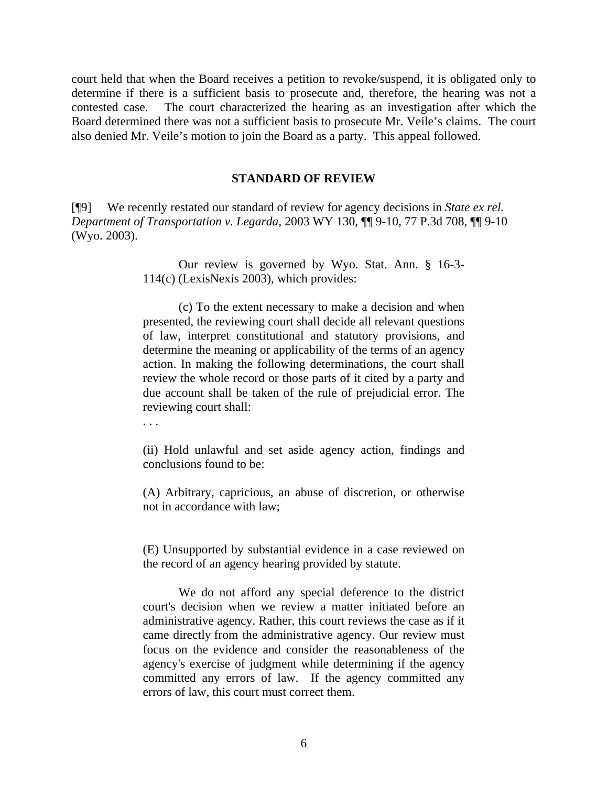court held that when the Board receives a petition to revoke/suspend, it is obligated only to determine if there is a sufficient basis to prosecute and, therefore, the hearing was not a contested case. The court characterized the hearing as an investigation after which the Board determined there was not a sufficient basis to prosecute Mr. Veile's claims. The court also denied Mr. Veile's motion to join the Board as a party. This appeal followed.

#### **STANDARD OF REVIEW**

[¶9] We recently restated our standard of review for agency decisions in *State ex rel. Department of Transportation v. Legarda*, 2003 WY 130, ¶¶ 9-10, 77 P.3d 708, ¶¶ 9-10 (Wyo. 2003).

> Our review is governed by Wyo. Stat. Ann. § 16-3- 114(c) (LexisNexis 2003), which provides:

> (c) To the extent necessary to make a decision and when presented, the reviewing court shall decide all relevant questions of law, interpret constitutional and statutory provisions, and determine the meaning or applicability of the terms of an agency action. In making the following determinations, the court shall review the whole record or those parts of it cited by a party and due account shall be taken of the rule of prejudicial error. The reviewing court shall:

. . .

(ii) Hold unlawful and set aside agency action, findings and conclusions found to be:

(A) Arbitrary, capricious, an abuse of discretion, or otherwise not in accordance with law;

(E) Unsupported by substantial evidence in a case reviewed on the record of an agency hearing provided by statute.

We do not afford any special deference to the district court's decision when we review a matter initiated before an administrative agency. Rather, this court reviews the case as if it came directly from the administrative agency. Our review must focus on the evidence and consider the reasonableness of the agency's exercise of judgment while determining if the agency committed any errors of law. If the agency committed any errors of law, this court must correct them.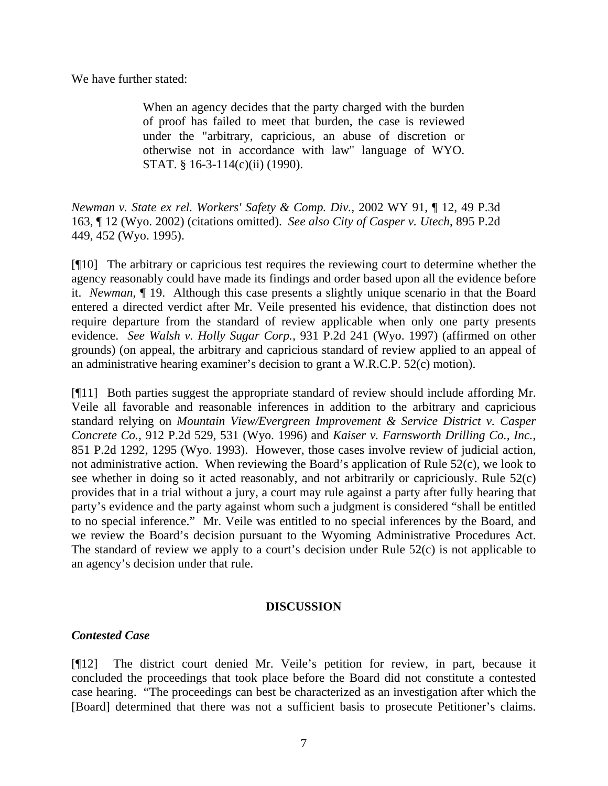We have further stated:

When an agency decides that the party charged with the burden of proof has failed to meet that burden, the case is reviewed under the "arbitrary, capricious, an abuse of discretion or otherwise not in accordance with law" language of WYO. STAT. § 16-3-114(c)(ii) (1990).

*Newman v. State ex rel. Workers' Safety & Comp. Div.,* 2002 WY 91, ¶ 12, 49 P.3d 163, ¶ 12 (Wyo. 2002) (citations omitted).*See also City of Casper v. Utech*, 895 P.2d 449, 452 (Wyo. 1995).

[¶10] The arbitrary or capricious test requires the reviewing court to determine whether the agency reasonably could have made its findings and order based upon all the evidence before it. *Newman*, ¶ 19. Although this case presents a slightly unique scenario in that the Board entered a directed verdict after Mr. Veile presented his evidence, that distinction does not require departure from the standard of review applicable when only one party presents evidence. *See Walsh v. Holly Sugar Corp.,* 931 P.2d 241 (Wyo. 1997) (affirmed on other grounds) (on appeal, the arbitrary and capricious standard of review applied to an appeal of an administrative hearing examiner's decision to grant a W.R.C.P. 52(c) motion).

[¶11] Both parties suggest the appropriate standard of review should include affording Mr. Veile all favorable and reasonable inferences in addition to the arbitrary and capricious standard relying on *Mountain View/Evergreen Improvement & Service District v. Casper Concrete Co.*, 912 P.2d 529, 531 (Wyo. 1996) and *Kaiser v. Farnsworth Drilling Co., Inc.*, 851 P.2d 1292, 1295 (Wyo. 1993). However, those cases involve review of judicial action, not administrative action. When reviewing the Board's application of Rule 52(c), we look to see whether in doing so it acted reasonably, and not arbitrarily or capriciously. Rule 52(c) provides that in a trial without a jury, a court may rule against a party after fully hearing that party's evidence and the party against whom such a judgment is considered "shall be entitled to no special inference." Mr. Veile was entitled to no special inferences by the Board, and we review the Board's decision pursuant to the Wyoming Administrative Procedures Act. The standard of review we apply to a court's decision under Rule 52(c) is not applicable to an agency's decision under that rule.

### **DISCUSSION**

## *Contested Case*

[¶12] The district court denied Mr. Veile's petition for review, in part, because it concluded the proceedings that took place before the Board did not constitute a contested case hearing. "The proceedings can best be characterized as an investigation after which the [Board] determined that there was not a sufficient basis to prosecute Petitioner's claims.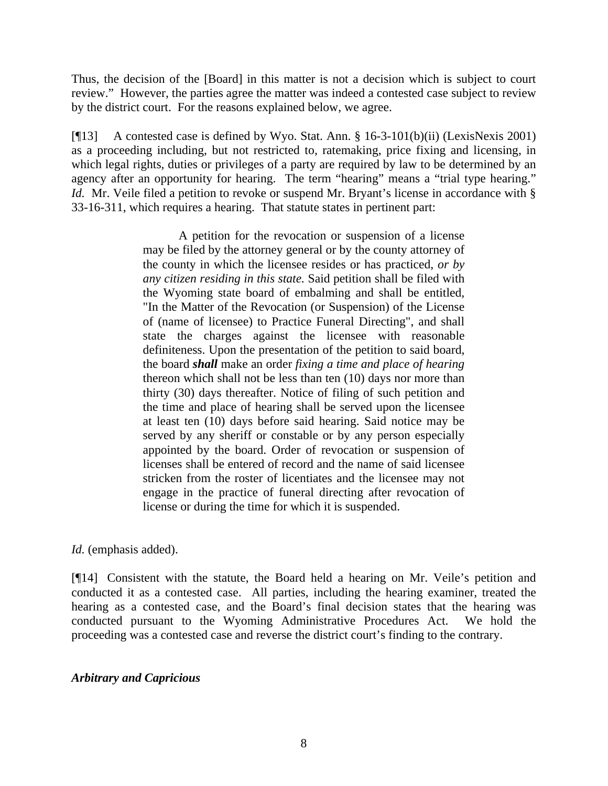Thus, the decision of the [Board] in this matter is not a decision which is subject to court review." However, the parties agree the matter was indeed a contested case subject to review by the district court. For the reasons explained below, we agree.

[¶13] A contested case is defined by Wyo. Stat. Ann. § 16-3-101(b)(ii) (LexisNexis 2001) as a proceeding including, but not restricted to, ratemaking, price fixing and licensing, in which legal rights, duties or privileges of a party are required by law to be determined by an agency after an opportunity for hearing. The term "hearing" means a "trial type hearing." *Id.* Mr. Veile filed a petition to revoke or suspend Mr. Bryant's license in accordance with § 33-16-311, which requires a hearing. That statute states in pertinent part:

> A petition for the revocation or suspension of a license may be filed by the attorney general or by the county attorney of the county in which the licensee resides or has practiced, *or by any citizen residing in this state.* Said petition shall be filed with the Wyoming state board of embalming and shall be entitled, "In the Matter of the Revocation (or Suspension) of the License of (name of licensee) to Practice Funeral Directing", and shall state the charges against the licensee with reasonable definiteness. Upon the presentation of the petition to said board, the board *shall* make an order *fixing a time and place of hearing* thereon which shall not be less than ten (10) days nor more than thirty (30) days thereafter. Notice of filing of such petition and the time and place of hearing shall be served upon the licensee at least ten (10) days before said hearing. Said notice may be served by any sheriff or constable or by any person especially appointed by the board. Order of revocation or suspension of licenses shall be entered of record and the name of said licensee stricken from the roster of licentiates and the licensee may not engage in the practice of funeral directing after revocation of license or during the time for which it is suspended.

*Id.* (emphasis added).

[¶14] Consistent with the statute, the Board held a hearing on Mr. Veile's petition and conducted it as a contested case. All parties, including the hearing examiner, treated the hearing as a contested case, and the Board's final decision states that the hearing was conducted pursuant to the Wyoming Administrative Procedures Act. We hold the proceeding was a contested case and reverse the district court's finding to the contrary.

## *Arbitrary and Capricious*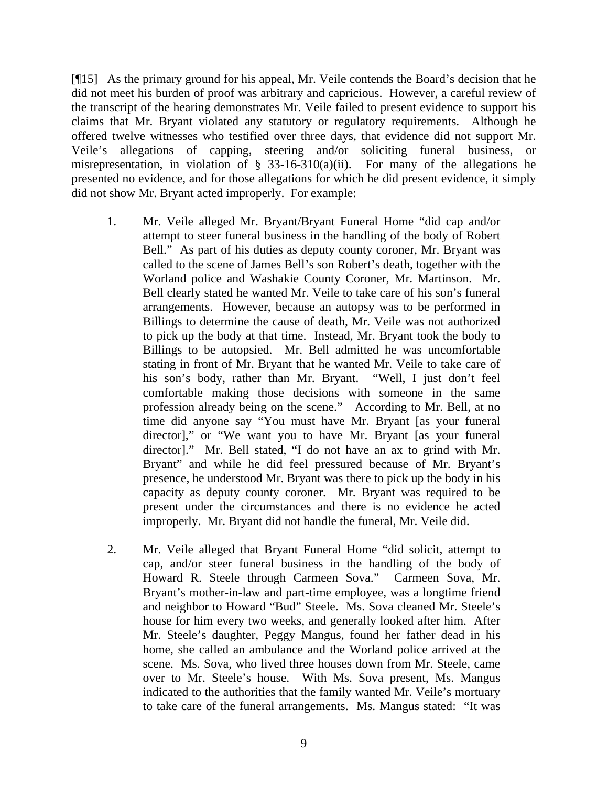[¶15] As the primary ground for his appeal, Mr. Veile contends the Board's decision that he did not meet his burden of proof was arbitrary and capricious. However, a careful review of the transcript of the hearing demonstrates Mr. Veile failed to present evidence to support his claims that Mr. Bryant violated any statutory or regulatory requirements. Although he offered twelve witnesses who testified over three days, that evidence did not support Mr. Veile's allegations of capping, steering and/or soliciting funeral business, or misrepresentation, in violation of  $\S$  33-16-310(a)(ii). For many of the allegations he presented no evidence, and for those allegations for which he did present evidence, it simply did not show Mr. Bryant acted improperly. For example:

- 1. Mr. Veile alleged Mr. Bryant/Bryant Funeral Home "did cap and/or attempt to steer funeral business in the handling of the body of Robert Bell." As part of his duties as deputy county coroner, Mr. Bryant was called to the scene of James Bell's son Robert's death, together with the Worland police and Washakie County Coroner, Mr. Martinson. Mr. Bell clearly stated he wanted Mr. Veile to take care of his son's funeral arrangements. However, because an autopsy was to be performed in Billings to determine the cause of death, Mr. Veile was not authorized to pick up the body at that time. Instead, Mr. Bryant took the body to Billings to be autopsied. Mr. Bell admitted he was uncomfortable stating in front of Mr. Bryant that he wanted Mr. Veile to take care of his son's body, rather than Mr. Bryant. "Well, I just don't feel comfortable making those decisions with someone in the same profession already being on the scene." According to Mr. Bell, at no time did anyone say "You must have Mr. Bryant [as your funeral director]," or "We want you to have Mr. Bryant [as your funeral director]." Mr. Bell stated, "I do not have an ax to grind with Mr. Bryant" and while he did feel pressured because of Mr. Bryant's presence, he understood Mr. Bryant was there to pick up the body in his capacity as deputy county coroner. Mr. Bryant was required to be present under the circumstances and there is no evidence he acted improperly. Mr. Bryant did not handle the funeral, Mr. Veile did.
- 2. Mr. Veile alleged that Bryant Funeral Home "did solicit, attempt to cap, and/or steer funeral business in the handling of the body of Howard R. Steele through Carmeen Sova." Carmeen Sova, Mr. Bryant's mother-in-law and part-time employee, was a longtime friend and neighbor to Howard "Bud" Steele. Ms. Sova cleaned Mr. Steele's house for him every two weeks, and generally looked after him. After Mr. Steele's daughter, Peggy Mangus, found her father dead in his home, she called an ambulance and the Worland police arrived at the scene. Ms. Sova, who lived three houses down from Mr. Steele, came over to Mr. Steele's house. With Ms. Sova present, Ms. Mangus indicated to the authorities that the family wanted Mr. Veile's mortuary to take care of the funeral arrangements. Ms. Mangus stated: "It was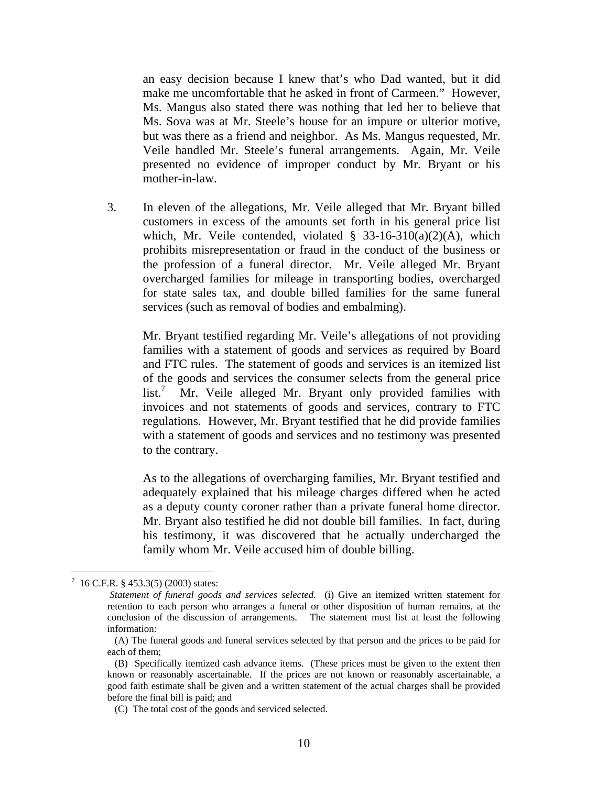an easy decision because I knew that's who Dad wanted, but it did make me uncomfortable that he asked in front of Carmeen." However, Ms. Mangus also stated there was nothing that led her to believe that Ms. Sova was at Mr. Steele's house for an impure or ulterior motive, but was there as a friend and neighbor. As Ms. Mangus requested, Mr. Veile handled Mr. Steele's funeral arrangements. Again, Mr. Veile presented no evidence of improper conduct by Mr. Bryant or his mother-in-law.

3. In eleven of the allegations, Mr. Veile alleged that Mr. Bryant billed customers in excess of the amounts set forth in his general price list which, Mr. Veile contended, violated § 33-16-310(a)(2)(A), which prohibits misrepresentation or fraud in the conduct of the business or the profession of a funeral director. Mr. Veile alleged Mr. Bryant overcharged families for mileage in transporting bodies, overcharged for state sales tax, and double billed families for the same funeral services (such as removal of bodies and embalming).

Mr. Bryant testified regarding Mr. Veile's allegations of not providing families with a statement of goods and services as required by Board and FTC rules. The statement of goods and services is an itemized list of the goods and services the consumer selects from the general price list.<sup>7</sup> Mr. Veile alleged Mr. Bryant only provided families with invoices and not statements of goods and services, contrary to FTC regulations. However, Mr. Bryant testified that he did provide families with a statement of goods and services and no testimony was presented to the contrary.

As to the allegations of overcharging families, Mr. Bryant testified and adequately explained that his mileage charges differed when he acted as a deputy county coroner rather than a private funeral home director. Mr. Bryant also testified he did not double bill families. In fact, during his testimony, it was discovered that he actually undercharged the family whom Mr. Veile accused him of double billing.

 7 16 C.F.R. § 453.3(5) (2003) states:

*Statement of funeral goods and services selected.* (i) Give an itemized written statement for retention to each person who arranges a funeral or other disposition of human remains, at the conclusion of the discussion of arrangements. The statement must list at least the following information:

<sup>(</sup>A) The funeral goods and funeral services selected by that person and the prices to be paid for each of them;

<sup>(</sup>B) Specifically itemized cash advance items. (These prices must be given to the extent then known or reasonably ascertainable. If the prices are not known or reasonably ascertainable, a good faith estimate shall be given and a written statement of the actual charges shall be provided before the final bill is paid; and

 <sup>(</sup>C) The total cost of the goods and serviced selected.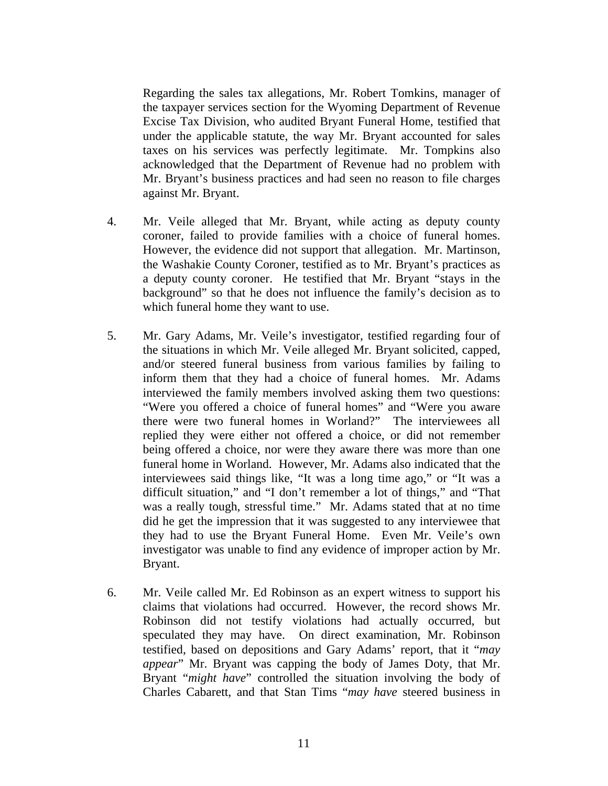Regarding the sales tax allegations, Mr. Robert Tomkins, manager of the taxpayer services section for the Wyoming Department of Revenue Excise Tax Division, who audited Bryant Funeral Home, testified that under the applicable statute, the way Mr. Bryant accounted for sales taxes on his services was perfectly legitimate. Mr. Tompkins also acknowledged that the Department of Revenue had no problem with Mr. Bryant's business practices and had seen no reason to file charges against Mr. Bryant.

- 4. Mr. Veile alleged that Mr. Bryant, while acting as deputy county coroner, failed to provide families with a choice of funeral homes. However, the evidence did not support that allegation. Mr. Martinson, the Washakie County Coroner, testified as to Mr. Bryant's practices as a deputy county coroner. He testified that Mr. Bryant "stays in the background" so that he does not influence the family's decision as to which funeral home they want to use.
- 5. Mr. Gary Adams, Mr. Veile's investigator, testified regarding four of the situations in which Mr. Veile alleged Mr. Bryant solicited, capped, and/or steered funeral business from various families by failing to inform them that they had a choice of funeral homes. Mr. Adams interviewed the family members involved asking them two questions: "Were you offered a choice of funeral homes" and "Were you aware there were two funeral homes in Worland?" The interviewees all replied they were either not offered a choice, or did not remember being offered a choice, nor were they aware there was more than one funeral home in Worland. However, Mr. Adams also indicated that the interviewees said things like, "It was a long time ago," or "It was a difficult situation," and "I don't remember a lot of things," and "That was a really tough, stressful time." Mr. Adams stated that at no time did he get the impression that it was suggested to any interviewee that they had to use the Bryant Funeral Home. Even Mr. Veile's own investigator was unable to find any evidence of improper action by Mr. Bryant.
- 6. Mr. Veile called Mr. Ed Robinson as an expert witness to support his claims that violations had occurred. However, the record shows Mr. Robinson did not testify violations had actually occurred, but speculated they may have. On direct examination, Mr. Robinson testified, based on depositions and Gary Adams' report, that it "*may appear*" Mr. Bryant was capping the body of James Doty, that Mr. Bryant "*might have*" controlled the situation involving the body of Charles Cabarett, and that Stan Tims "*may have* steered business in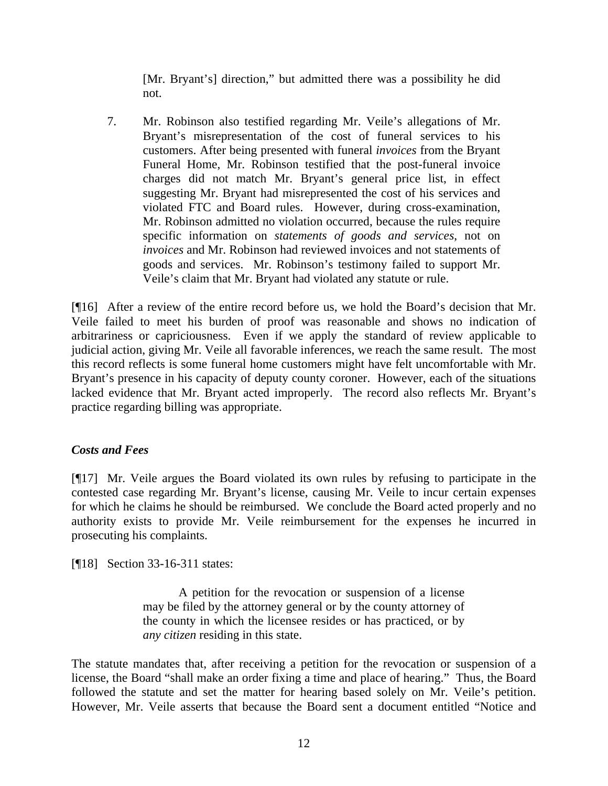[Mr. Bryant's] direction," but admitted there was a possibility he did not.

7. Mr. Robinson also testified regarding Mr. Veile's allegations of Mr. Bryant's misrepresentation of the cost of funeral services to his customers. After being presented with funeral *invoices* from the Bryant Funeral Home, Mr. Robinson testified that the post-funeral invoice charges did not match Mr. Bryant's general price list, in effect suggesting Mr. Bryant had misrepresented the cost of his services and violated FTC and Board rules. However, during cross-examination, Mr. Robinson admitted no violation occurred, because the rules require specific information on *statements of goods and services*, not on *invoices* and Mr. Robinson had reviewed invoices and not statements of goods and services. Mr. Robinson's testimony failed to support Mr. Veile's claim that Mr. Bryant had violated any statute or rule.

[¶16] After a review of the entire record before us, we hold the Board's decision that Mr. Veile failed to meet his burden of proof was reasonable and shows no indication of arbitrariness or capriciousness. Even if we apply the standard of review applicable to judicial action, giving Mr. Veile all favorable inferences, we reach the same result. The most this record reflects is some funeral home customers might have felt uncomfortable with Mr. Bryant's presence in his capacity of deputy county coroner. However, each of the situations lacked evidence that Mr. Bryant acted improperly. The record also reflects Mr. Bryant's practice regarding billing was appropriate.

## *Costs and Fees*

[¶17] Mr. Veile argues the Board violated its own rules by refusing to participate in the contested case regarding Mr. Bryant's license, causing Mr. Veile to incur certain expenses for which he claims he should be reimbursed. We conclude the Board acted properly and no authority exists to provide Mr. Veile reimbursement for the expenses he incurred in prosecuting his complaints.

[¶18] Section 33-16-311 states:

A petition for the revocation or suspension of a license may be filed by the attorney general or by the county attorney of the county in which the licensee resides or has practiced, or by *any citizen* residing in this state.

The statute mandates that, after receiving a petition for the revocation or suspension of a license, the Board "shall make an order fixing a time and place of hearing." Thus, the Board followed the statute and set the matter for hearing based solely on Mr. Veile's petition. However, Mr. Veile asserts that because the Board sent a document entitled "Notice and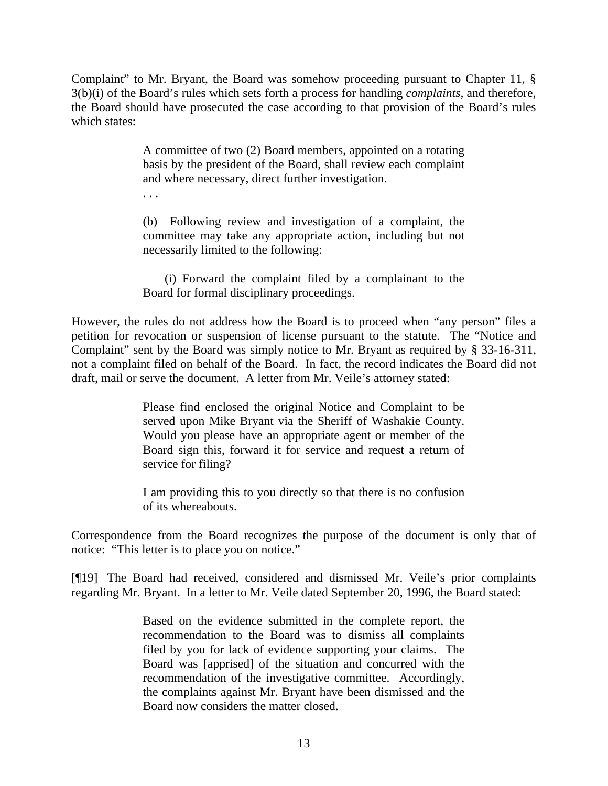Complaint" to Mr. Bryant, the Board was somehow proceeding pursuant to Chapter 11, § 3(b)(i) of the Board's rules which sets forth a process for handling *complaints,* and therefore, the Board should have prosecuted the case according to that provision of the Board's rules which states:

> A committee of two (2) Board members, appointed on a rotating basis by the president of the Board, shall review each complaint and where necessary, direct further investigation.

. . .

(b) Following review and investigation of a complaint, the committee may take any appropriate action, including but not necessarily limited to the following:

(i) Forward the complaint filed by a complainant to the Board for formal disciplinary proceedings.

However, the rules do not address how the Board is to proceed when "any person" files a petition for revocation or suspension of license pursuant to the statute. The "Notice and Complaint" sent by the Board was simply notice to Mr. Bryant as required by § 33-16-311, not a complaint filed on behalf of the Board. In fact, the record indicates the Board did not draft, mail or serve the document. A letter from Mr. Veile's attorney stated:

> Please find enclosed the original Notice and Complaint to be served upon Mike Bryant via the Sheriff of Washakie County. Would you please have an appropriate agent or member of the Board sign this, forward it for service and request a return of service for filing?

> I am providing this to you directly so that there is no confusion of its whereabouts.

Correspondence from the Board recognizes the purpose of the document is only that of notice: "This letter is to place you on notice."

[¶19] The Board had received, considered and dismissed Mr. Veile's prior complaints regarding Mr. Bryant. In a letter to Mr. Veile dated September 20, 1996, the Board stated:

> Based on the evidence submitted in the complete report, the recommendation to the Board was to dismiss all complaints filed by you for lack of evidence supporting your claims. The Board was [apprised] of the situation and concurred with the recommendation of the investigative committee. Accordingly, the complaints against Mr. Bryant have been dismissed and the Board now considers the matter closed.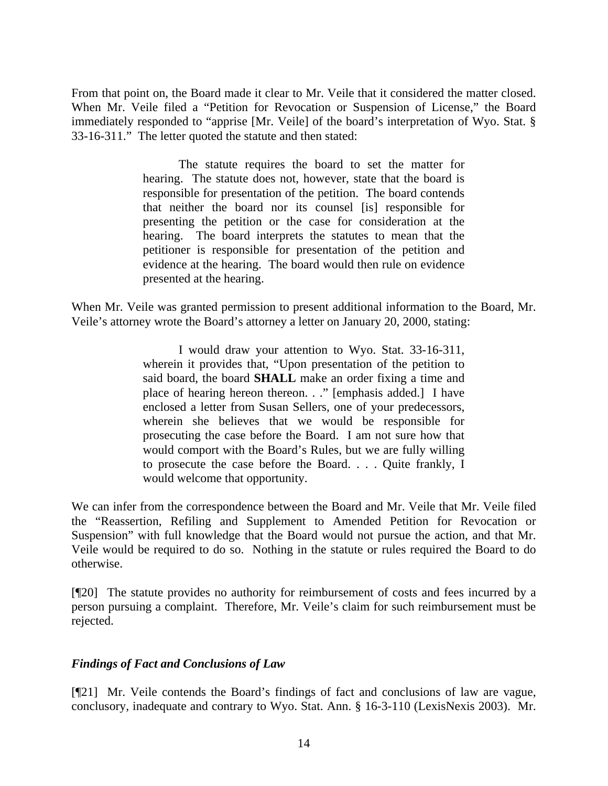From that point on, the Board made it clear to Mr. Veile that it considered the matter closed. When Mr. Veile filed a "Petition for Revocation or Suspension of License," the Board immediately responded to "apprise [Mr. Veile] of the board's interpretation of Wyo. Stat. § 33-16-311." The letter quoted the statute and then stated:

> The statute requires the board to set the matter for hearing. The statute does not, however, state that the board is responsible for presentation of the petition. The board contends that neither the board nor its counsel [is] responsible for presenting the petition or the case for consideration at the hearing. The board interprets the statutes to mean that the petitioner is responsible for presentation of the petition and evidence at the hearing. The board would then rule on evidence presented at the hearing.

When Mr. Veile was granted permission to present additional information to the Board, Mr. Veile's attorney wrote the Board's attorney a letter on January 20, 2000, stating:

> I would draw your attention to Wyo. Stat. 33-16-311, wherein it provides that, "Upon presentation of the petition to said board, the board **SHALL** make an order fixing a time and place of hearing hereon thereon. . ." [emphasis added.] I have enclosed a letter from Susan Sellers, one of your predecessors, wherein she believes that we would be responsible for prosecuting the case before the Board. I am not sure how that would comport with the Board's Rules, but we are fully willing to prosecute the case before the Board. . . . Quite frankly, I would welcome that opportunity.

We can infer from the correspondence between the Board and Mr. Veile that Mr. Veile filed the "Reassertion, Refiling and Supplement to Amended Petition for Revocation or Suspension" with full knowledge that the Board would not pursue the action, and that Mr. Veile would be required to do so. Nothing in the statute or rules required the Board to do otherwise.

[¶20] The statute provides no authority for reimbursement of costs and fees incurred by a person pursuing a complaint. Therefore, Mr. Veile's claim for such reimbursement must be rejected.

## *Findings of Fact and Conclusions of Law*

[¶21] Mr. Veile contends the Board's findings of fact and conclusions of law are vague, conclusory, inadequate and contrary to Wyo. Stat. Ann. § 16-3-110 (LexisNexis 2003). Mr.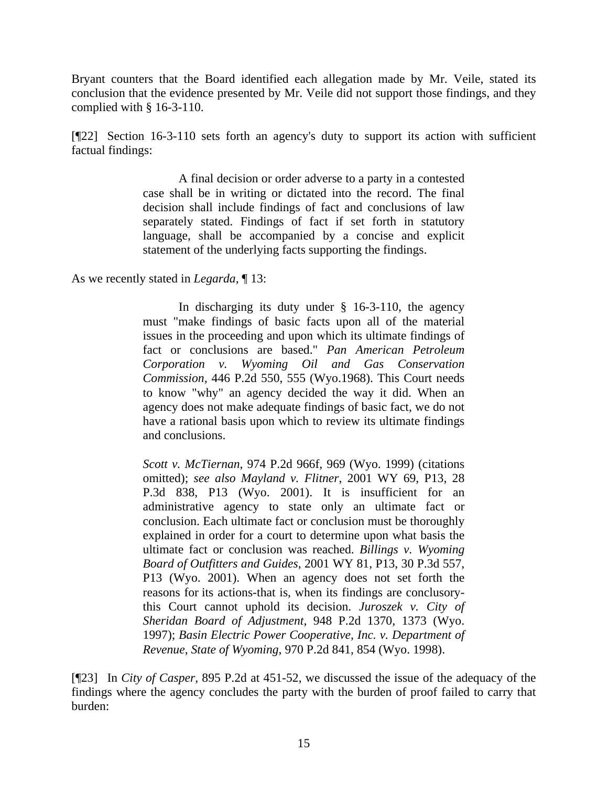Bryant counters that the Board identified each allegation made by Mr. Veile, stated its conclusion that the evidence presented by Mr. Veile did not support those findings, and they complied with § 16-3-110.

[¶22] Section 16-3-110 sets forth an agency's duty to support its action with sufficient factual findings:

> A final decision or order adverse to a party in a contested case shall be in writing or dictated into the record. The final decision shall include findings of fact and conclusions of law separately stated. Findings of fact if set forth in statutory language, shall be accompanied by a concise and explicit statement of the underlying facts supporting the findings.

As we recently stated in *Legarda,* ¶ 13:

In discharging its duty under § 16-3-110, the agency must "make findings of basic facts upon all of the material issues in the proceeding and upon which its ultimate findings of fact or conclusions are based." *Pan American Petroleum Corporation v. Wyoming Oil and Gas Conservation Commission,* 446 P.2d 550, 555 (Wyo.1968). This Court needs to know "why" an agency decided the way it did. When an agency does not make adequate findings of basic fact, we do not have a rational basis upon which to review its ultimate findings and conclusions.

*Scott v. McTiernan*, 974 P.2d 966f, 969 (Wyo. 1999) (citations omitted); *see also Mayland v. Flitner*, 2001 WY 69, P13, 28 P.3d 838, P13 (Wyo. 2001). It is insufficient for an administrative agency to state only an ultimate fact or conclusion. Each ultimate fact or conclusion must be thoroughly explained in order for a court to determine upon what basis the ultimate fact or conclusion was reached. *Billings v. Wyoming Board of Outfitters and Guides*, 2001 WY 81, P13, 30 P.3d 557, P13 (Wyo. 2001). When an agency does not set forth the reasons for its actions-that is, when its findings are conclusorythis Court cannot uphold its decision. *Juroszek v. City of Sheridan Board of Adjustment*, 948 P.2d 1370, 1373 (Wyo. 1997); *Basin Electric Power Cooperative, Inc. v. Department of Revenue*, *State of Wyoming*, 970 P.2d 841, 854 (Wyo. 1998).

[¶23] In *City of Casper,* 895 P.2d at 451-52, we discussed the issue of the adequacy of the findings where the agency concludes the party with the burden of proof failed to carry that burden: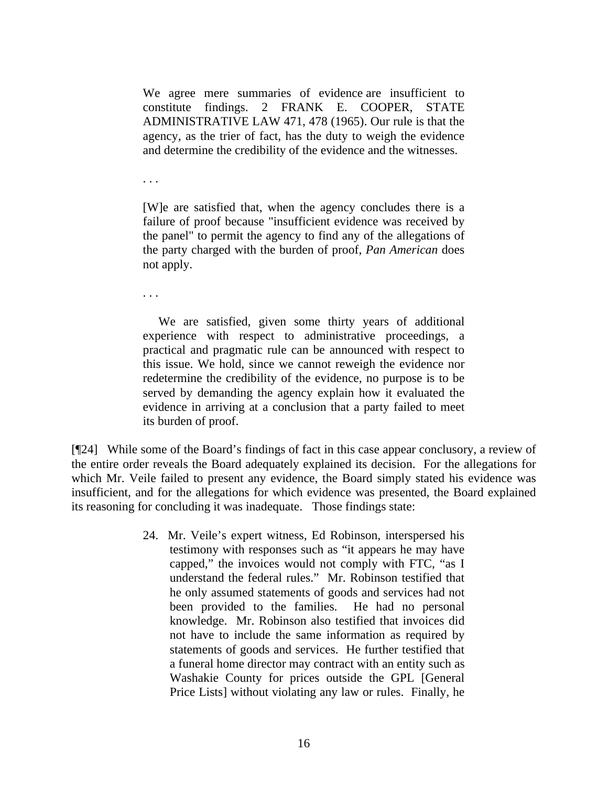We agree mere summaries of evidence are insufficient to constitute findings. 2 FRANK E. COOPER, STATE ADMINISTRATIVE LAW 471, 478 (1965). Our rule is that the agency, as the trier of fact, has the duty to weigh the evidence and determine the credibility of the evidence and the witnesses.

. . .

[W]e are satisfied that, when the agency concludes there is a failure of proof because "insufficient evidence was received by the panel" to permit the agency to find any of the allegations of the party charged with the burden of proof, *Pan American* does not apply.

. . .

 We are satisfied, given some thirty years of additional experience with respect to administrative proceedings, a practical and pragmatic rule can be announced with respect to this issue. We hold, since we cannot reweigh the evidence nor redetermine the credibility of the evidence, no purpose is to be served by demanding the agency explain how it evaluated the evidence in arriving at a conclusion that a party failed to meet its burden of proof.

[¶24] While some of the Board's findings of fact in this case appear conclusory, a review of the entire order reveals the Board adequately explained its decision. For the allegations for which Mr. Veile failed to present any evidence, the Board simply stated his evidence was insufficient, and for the allegations for which evidence was presented, the Board explained its reasoning for concluding it was inadequate. Those findings state:

> 24. Mr. Veile's expert witness, Ed Robinson, interspersed his testimony with responses such as "it appears he may have capped," the invoices would not comply with FTC, "as I understand the federal rules." Mr. Robinson testified that he only assumed statements of goods and services had not been provided to the families. He had no personal knowledge. Mr. Robinson also testified that invoices did not have to include the same information as required by statements of goods and services. He further testified that a funeral home director may contract with an entity such as Washakie County for prices outside the GPL [General Price Lists] without violating any law or rules. Finally, he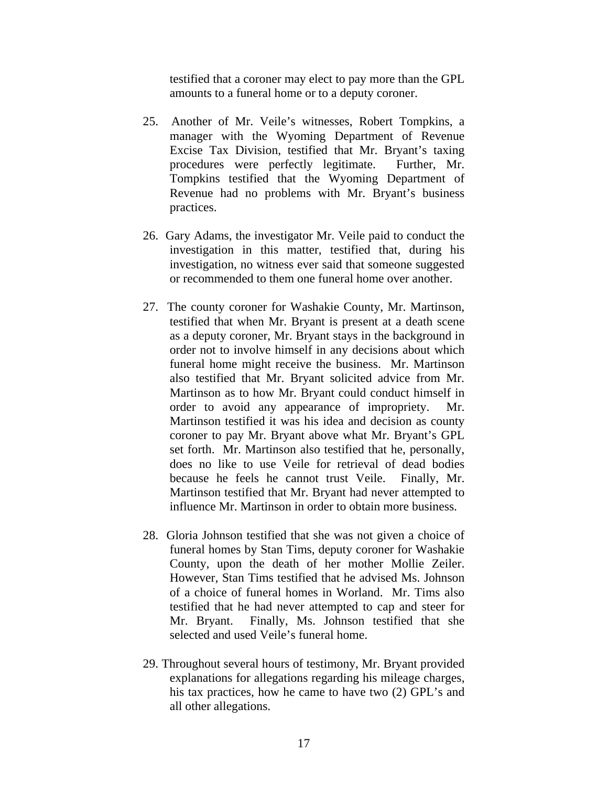testified that a coroner may elect to pay more than the GPL amounts to a funeral home or to a deputy coroner.

- 25. Another of Mr. Veile's witnesses, Robert Tompkins, a manager with the Wyoming Department of Revenue Excise Tax Division, testified that Mr. Bryant's taxing procedures were perfectly legitimate. Further, Mr. Tompkins testified that the Wyoming Department of Revenue had no problems with Mr. Bryant's business practices.
- 26. Gary Adams, the investigator Mr. Veile paid to conduct the investigation in this matter, testified that, during his investigation, no witness ever said that someone suggested or recommended to them one funeral home over another.
- 27. The county coroner for Washakie County, Mr. Martinson, testified that when Mr. Bryant is present at a death scene as a deputy coroner, Mr. Bryant stays in the background in order not to involve himself in any decisions about which funeral home might receive the business. Mr. Martinson also testified that Mr. Bryant solicited advice from Mr. Martinson as to how Mr. Bryant could conduct himself in order to avoid any appearance of impropriety. Mr. Martinson testified it was his idea and decision as county coroner to pay Mr. Bryant above what Mr. Bryant's GPL set forth. Mr. Martinson also testified that he, personally, does no like to use Veile for retrieval of dead bodies because he feels he cannot trust Veile. Finally, Mr. Martinson testified that Mr. Bryant had never attempted to influence Mr. Martinson in order to obtain more business.
- 28. Gloria Johnson testified that she was not given a choice of funeral homes by Stan Tims, deputy coroner for Washakie County, upon the death of her mother Mollie Zeiler. However, Stan Tims testified that he advised Ms. Johnson of a choice of funeral homes in Worland. Mr. Tims also testified that he had never attempted to cap and steer for Mr. Bryant. Finally, Ms. Johnson testified that she selected and used Veile's funeral home.
- 29. Throughout several hours of testimony, Mr. Bryant provided explanations for allegations regarding his mileage charges, his tax practices, how he came to have two (2) GPL's and all other allegations.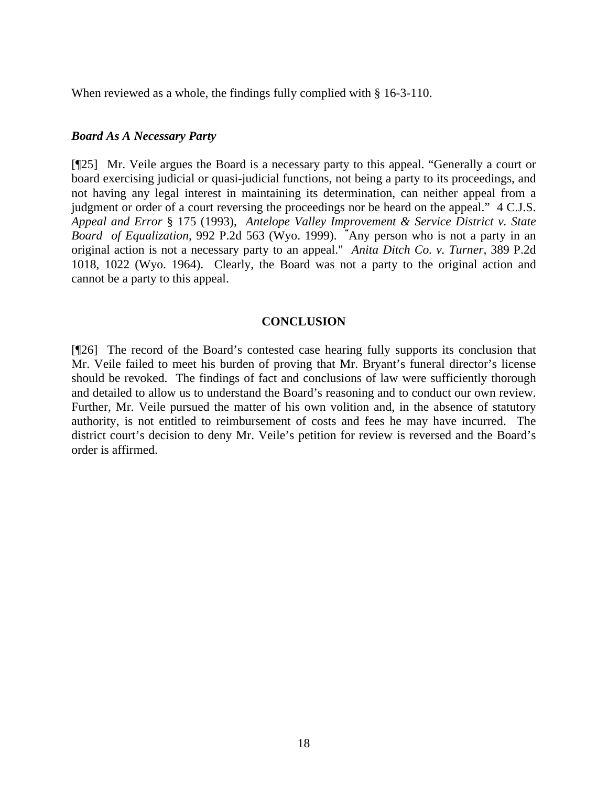When reviewed as a whole, the findings fully complied with § 16-3-110.

### *Board As A Necessary Party*

[¶25] Mr. Veile argues the Board is a necessary party to this appeal. "Generally a court or board exercising judicial or quasi-judicial functions, not being a party to its proceedings, and not having any legal interest in maintaining its determination, can neither appeal from a judgment or order of a court reversing the proceedings nor be heard on the appeal." 4 C.J.S. *Appeal and Error* § 175 (1993), *Antelope Valley Improvement & Service District v. State Board of Equalization,* 992 P.2d 563 (Wyo. 1999). *"*Any person who is not a party in an original action is not a necessary party to an appeal." *Anita Ditch Co. v. Turner,* 389 P.2d 1018, 1022 (Wyo. 1964). Clearly, the Board was not a party to the original action and cannot be a party to this appeal.

### **CONCLUSION**

[¶26] The record of the Board's contested case hearing fully supports its conclusion that Mr. Veile failed to meet his burden of proving that Mr. Bryant's funeral director's license should be revoked. The findings of fact and conclusions of law were sufficiently thorough and detailed to allow us to understand the Board's reasoning and to conduct our own review. Further, Mr. Veile pursued the matter of his own volition and, in the absence of statutory authority, is not entitled to reimbursement of costs and fees he may have incurred. The district court's decision to deny Mr. Veile's petition for review is reversed and the Board's order is affirmed.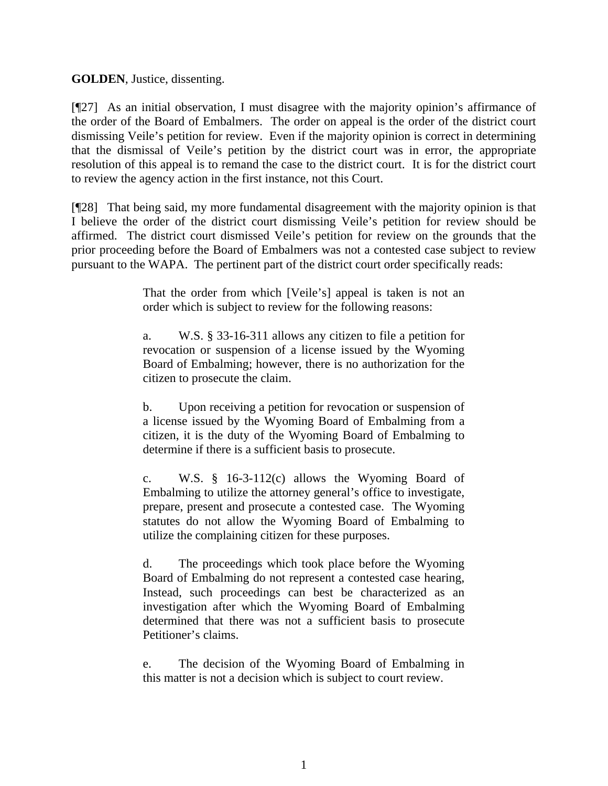**GOLDEN**, Justice, dissenting.

[¶27] As an initial observation, I must disagree with the majority opinion's affirmance of the order of the Board of Embalmers. The order on appeal is the order of the district court dismissing Veile's petition for review. Even if the majority opinion is correct in determining that the dismissal of Veile's petition by the district court was in error, the appropriate resolution of this appeal is to remand the case to the district court. It is for the district court to review the agency action in the first instance, not this Court.

[¶28] That being said, my more fundamental disagreement with the majority opinion is that I believe the order of the district court dismissing Veile's petition for review should be affirmed. The district court dismissed Veile's petition for review on the grounds that the prior proceeding before the Board of Embalmers was not a contested case subject to review pursuant to the WAPA. The pertinent part of the district court order specifically reads:

> That the order from which [Veile's] appeal is taken is not an order which is subject to review for the following reasons:

> a. W.S. § 33-16-311 allows any citizen to file a petition for revocation or suspension of a license issued by the Wyoming Board of Embalming; however, there is no authorization for the citizen to prosecute the claim.

> b. Upon receiving a petition for revocation or suspension of a license issued by the Wyoming Board of Embalming from a citizen, it is the duty of the Wyoming Board of Embalming to determine if there is a sufficient basis to prosecute.

> c. W.S. § 16-3-112(c) allows the Wyoming Board of Embalming to utilize the attorney general's office to investigate, prepare, present and prosecute a contested case. The Wyoming statutes do not allow the Wyoming Board of Embalming to utilize the complaining citizen for these purposes.

> d. The proceedings which took place before the Wyoming Board of Embalming do not represent a contested case hearing, Instead, such proceedings can best be characterized as an investigation after which the Wyoming Board of Embalming determined that there was not a sufficient basis to prosecute Petitioner's claims.

> e. The decision of the Wyoming Board of Embalming in this matter is not a decision which is subject to court review.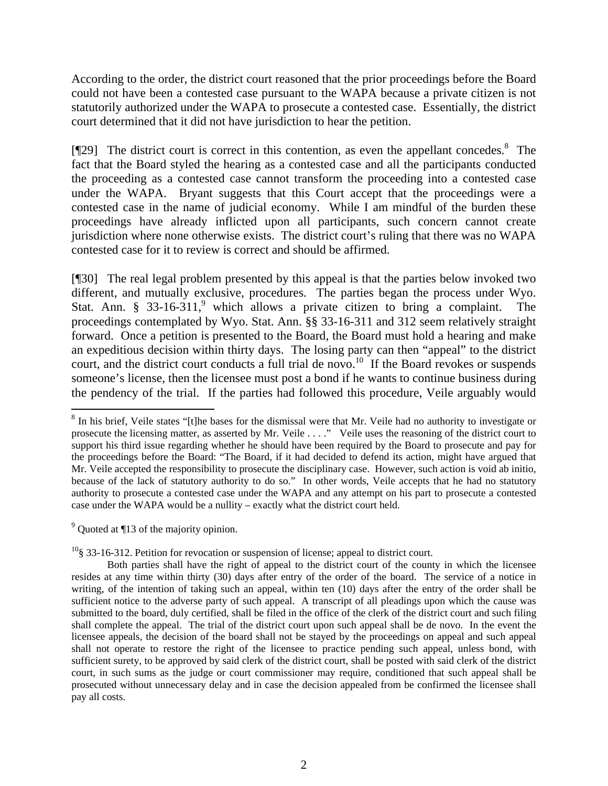According to the order, the district court reasoned that the prior proceedings before the Board could not have been a contested case pursuant to the WAPA because a private citizen is not statutorily authorized under the WAPA to prosecute a contested case. Essentially, the district court determined that it did not have jurisdiction to hear the petition.

[¶29] The district court is correct in this contention, as even the appellant concedes.<sup>8</sup> The fact that the Board styled the hearing as a contested case and all the participants conducted the proceeding as a contested case cannot transform the proceeding into a contested case under the WAPA. Bryant suggests that this Court accept that the proceedings were a contested case in the name of judicial economy. While I am mindful of the burden these proceedings have already inflicted upon all participants, such concern cannot create jurisdiction where none otherwise exists. The district court's ruling that there was no WAPA contested case for it to review is correct and should be affirmed.

[¶30] The real legal problem presented by this appeal is that the parties below invoked two different, and mutually exclusive, procedures. The parties began the process under Wyo. Stat. Ann. §  $33-16-311$ , which allows a private citizen to bring a complaint. The proceedings contemplated by Wyo. Stat. Ann. §§ 33-16-311 and 312 seem relatively straight forward. Once a petition is presented to the Board, the Board must hold a hearing and make an expeditious decision within thirty days. The losing party can then "appeal" to the district court, and the district court conducts a full trial de novo.<sup>10</sup> If the Board revokes or suspends someone's license, then the licensee must post a bond if he wants to continue business during the pendency of the trial. If the parties had followed this procedure, Veile arguably would

 $9^9$  Quoted at ¶13 of the majority opinion.

 $\overline{a}$ 

 $10\frac{10}{3}$  33-16-312. Petition for revocation or suspension of license; appeal to district court.

<sup>&</sup>lt;sup>8</sup> In his brief, Veile states "[t]he bases for the dismissal were that Mr. Veile had no authority to investigate or prosecute the licensing matter, as asserted by Mr. Veile . . . ." Veile uses the reasoning of the district court to support his third issue regarding whether he should have been required by the Board to prosecute and pay for the proceedings before the Board: "The Board, if it had decided to defend its action, might have argued that Mr. Veile accepted the responsibility to prosecute the disciplinary case. However, such action is void ab initio, because of the lack of statutory authority to do so." In other words, Veile accepts that he had no statutory authority to prosecute a contested case under the WAPA and any attempt on his part to prosecute a contested case under the WAPA would be a nullity – exactly what the district court held.

Both parties shall have the right of appeal to the district court of the county in which the licensee resides at any time within thirty (30) days after entry of the order of the board. The service of a notice in writing, of the intention of taking such an appeal, within ten (10) days after the entry of the order shall be sufficient notice to the adverse party of such appeal. A transcript of all pleadings upon which the cause was submitted to the board, duly certified, shall be filed in the office of the clerk of the district court and such filing shall complete the appeal. The trial of the district court upon such appeal shall be de novo. In the event the licensee appeals, the decision of the board shall not be stayed by the proceedings on appeal and such appeal shall not operate to restore the right of the licensee to practice pending such appeal, unless bond, with sufficient surety, to be approved by said clerk of the district court, shall be posted with said clerk of the district court, in such sums as the judge or court commissioner may require, conditioned that such appeal shall be prosecuted without unnecessary delay and in case the decision appealed from be confirmed the licensee shall pay all costs.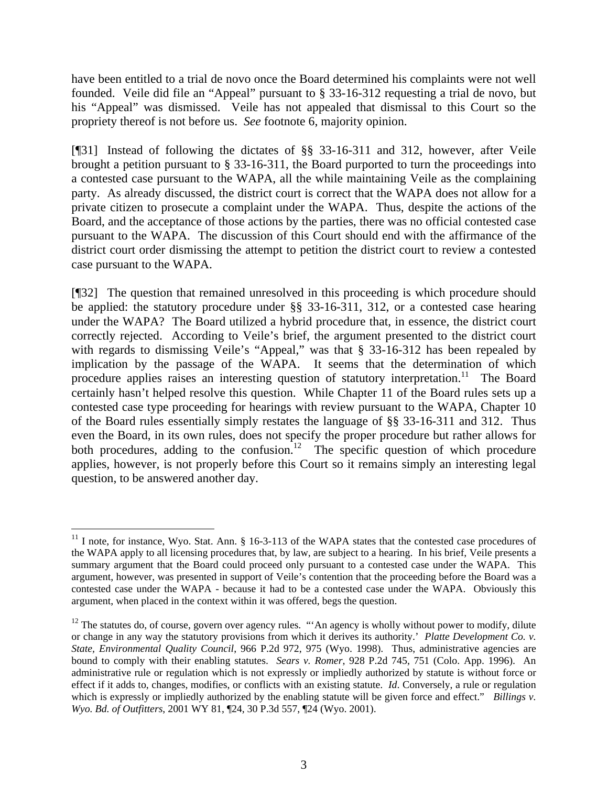have been entitled to a trial de novo once the Board determined his complaints were not well founded. Veile did file an "Appeal" pursuant to § 33-16-312 requesting a trial de novo, but his "Appeal" was dismissed. Veile has not appealed that dismissal to this Court so the propriety thereof is not before us. *See* footnote 6, majority opinion.

[¶31] Instead of following the dictates of §§ 33-16-311 and 312, however, after Veile brought a petition pursuant to § 33-16-311, the Board purported to turn the proceedings into a contested case pursuant to the WAPA, all the while maintaining Veile as the complaining party. As already discussed, the district court is correct that the WAPA does not allow for a private citizen to prosecute a complaint under the WAPA. Thus, despite the actions of the Board, and the acceptance of those actions by the parties, there was no official contested case pursuant to the WAPA. The discussion of this Court should end with the affirmance of the district court order dismissing the attempt to petition the district court to review a contested case pursuant to the WAPA.

[¶32] The question that remained unresolved in this proceeding is which procedure should be applied: the statutory procedure under §§ 33-16-311, 312, or a contested case hearing under the WAPA? The Board utilized a hybrid procedure that, in essence, the district court correctly rejected. According to Veile's brief, the argument presented to the district court with regards to dismissing Veile's "Appeal," was that § 33-16-312 has been repealed by implication by the passage of the WAPA. It seems that the determination of which procedure applies raises an interesting question of statutory interpretation.<sup>11</sup> The Board certainly hasn't helped resolve this question. While Chapter 11 of the Board rules sets up a contested case type proceeding for hearings with review pursuant to the WAPA, Chapter 10 of the Board rules essentially simply restates the language of §§ 33-16-311 and 312. Thus even the Board, in its own rules, does not specify the proper procedure but rather allows for both procedures, adding to the confusion.<sup>12</sup> The specific question of which procedure applies, however, is not properly before this Court so it remains simply an interesting legal question, to be answered another day.

l

 $11$  I note, for instance, Wyo. Stat. Ann. § 16-3-113 of the WAPA states that the contested case procedures of the WAPA apply to all licensing procedures that, by law, are subject to a hearing. In his brief, Veile presents a summary argument that the Board could proceed only pursuant to a contested case under the WAPA. This argument, however, was presented in support of Veile's contention that the proceeding before the Board was a contested case under the WAPA - because it had to be a contested case under the WAPA. Obviously this argument, when placed in the context within it was offered, begs the question.

 $12$  The statutes do, of course, govern over agency rules. "'An agency is wholly without power to modify, dilute or change in any way the statutory provisions from which it derives its authority.' *Platte Development Co. v. State, Environmental Quality Council*, 966 P.2d 972, 975 (Wyo. 1998). Thus, administrative agencies are bound to comply with their enabling statutes. *Sears v. Romer*, 928 P.2d 745, 751 (Colo. App. 1996). An administrative rule or regulation which is not expressly or impliedly authorized by statute is without force or effect if it adds to, changes, modifies, or conflicts with an existing statute. *Id*. Conversely, a rule or regulation which is expressly or impliedly authorized by the enabling statute will be given force and effect." *Billings v. Wyo. Bd. of Outfitters*, 2001 WY 81, ¶24, 30 P.3d 557, ¶24 (Wyo. 2001).